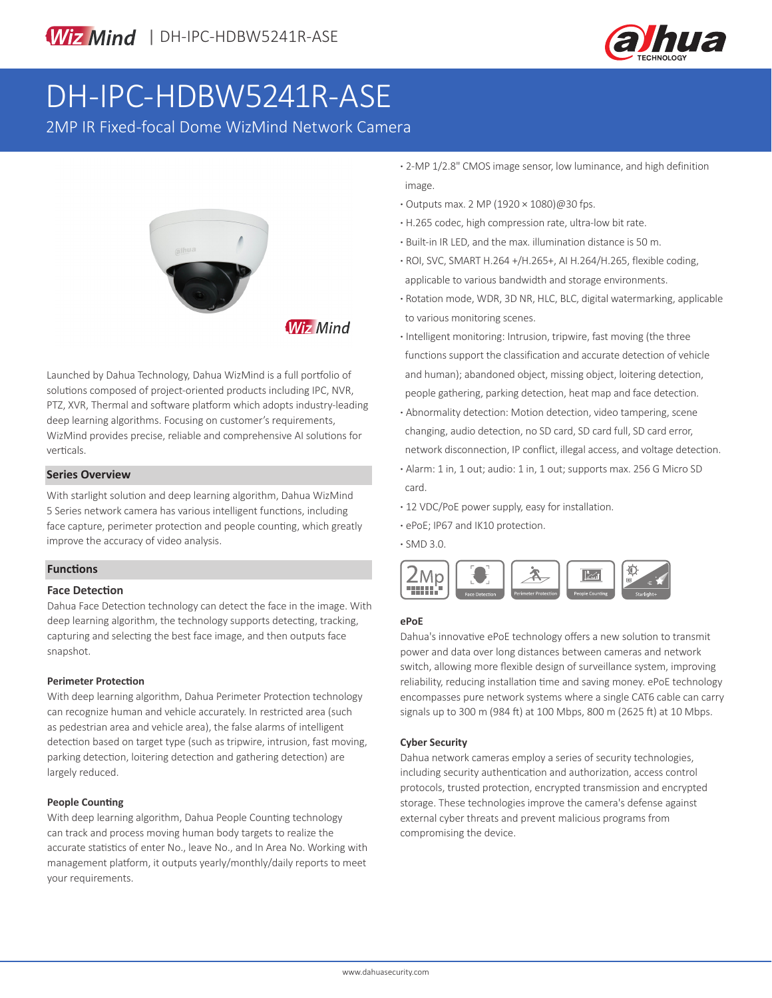

# DH-IPC-HDBW5241R-ASE

2MP IR Fixed-focal Dome WizMind Network Camera



**Wiz Mind** 

Launched by Dahua Technology, Dahua WizMind is a full portfolio of solutions composed of project-oriented products including IPC, NVR, PTZ, XVR, Thermal and software platform which adopts industry-leading deep learning algorithms. Focusing on customer's requirements, WizMind provides precise, reliable and comprehensive AI solutions for verticals.

#### **Series Overview**

With starlight solution and deep learning algorithm, Dahua WizMind 5 Series network camera has various intelligent functions, including face capture, perimeter protection and people counting, which greatly improve the accuracy of video analysis.

#### **Functions**

#### **Face Detection**

Dahua Face Detection technology can detect the face in the image. With deep learning algorithm, the technology supports detecting, tracking, capturing and selecting the best face image, and then outputs face snapshot.

#### **Perimeter Protection**

With deep learning algorithm, Dahua Perimeter Protection technology can recognize human and vehicle accurately. In restricted area (such as pedestrian area and vehicle area), the false alarms of intelligent detection based on target type (such as tripwire, intrusion, fast moving, parking detection, loitering detection and gathering detection) are largely reduced.

#### **People Counting**

With deep learning algorithm, Dahua People Counting technology can track and process moving human body targets to realize the accurate statistics of enter No., leave No., and In Area No. Working with management platform, it outputs yearly/monthly/daily reports to meet your requirements.

- **·** 2-MP 1/2.8" CMOS image sensor, low luminance, and high definition image.
- **·** Outputs max. 2 MP (1920 × 1080)@30 fps.
- **·** H.265 codec, high compression rate, ultra-low bit rate.
- **·** Built-in IR LED, and the max. illumination distance is 50 m.
- **·** ROI, SVC, SMART H.264 +/H.265+, AI H.264/H.265, flexible coding, applicable to various bandwidth and storage environments.
- **·** Rotation mode, WDR, 3D NR, HLC, BLC, digital watermarking, applicable to various monitoring scenes.
- **·** Intelligent monitoring: Intrusion, tripwire, fast moving (the three functions support the classification and accurate detection of vehicle and human); abandoned object, missing object, loitering detection, people gathering, parking detection, heat map and face detection.
- **·** Abnormality detection: Motion detection, video tampering, scene changing, audio detection, no SD card, SD card full, SD card error, network disconnection, IP conflict, illegal access, and voltage detection.
- **·** Alarm: 1 in, 1 out; audio: 1 in, 1 out; supports max. 256 G Micro SD card.
- **·** 12 VDC/PoE power supply, easy for installation.
- **·** ePoE; IP67 and IK10 protection.

**·** SMD 3.0.



#### **ePoE**

Dahua's innovative ePoE technology offers a new solution to transmit power and data over long distances between cameras and network switch, allowing more flexible design of surveillance system, improving reliability, reducing installation time and saving money. ePoE technology encompasses pure network systems where a single CAT6 cable can carry signals up to 300 m (984 ft) at 100 Mbps, 800 m (2625 ft) at 10 Mbps.

#### **Cyber Security**

Dahua network cameras employ a series of security technologies, including security authentication and authorization, access control protocols, trusted protection, encrypted transmission and encrypted storage. These technologies improve the camera's defense against external cyber threats and prevent malicious programs from compromising the device.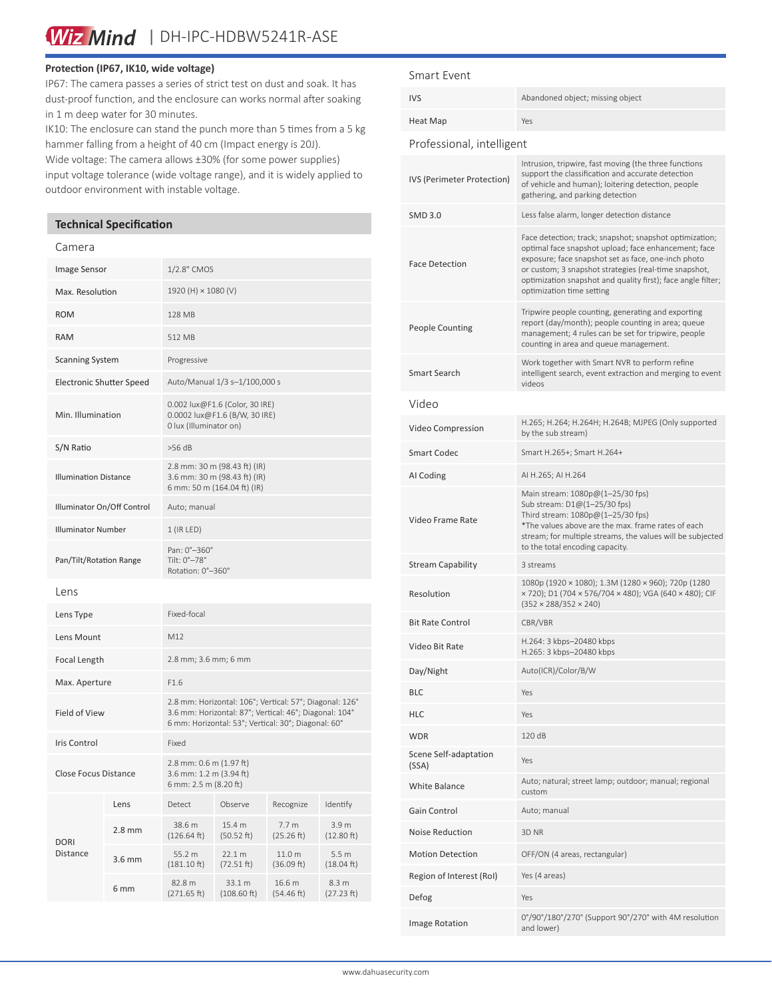Wiz Mind | DH-IPC-HDBW5241R-ASE

#### **Protection (IP67, IK10, wide voltage)**

IP67: The camera passes a series of strict test on dust and soak. It has dust-proof function, and the enclosure can works normal after soaking in 1 m deep water for 30 minutes.

IK10: The enclosure can stand the punch more than 5 times from a 5 kg hammer falling from a height of 40 cm (Impact energy is 20J).

Wide voltage: The camera allows ±30% (for some power supplies) input voltage tolerance (wide voltage range), and it is widely applied to outdoor environment with instable voltage.

#### **Technical Specification**

#### Camera

| Image Sensor                    |                 | 1/2.8" CMOS                                                                                                                                                              |                       |                                |                                |
|---------------------------------|-----------------|--------------------------------------------------------------------------------------------------------------------------------------------------------------------------|-----------------------|--------------------------------|--------------------------------|
| Max. Resolution                 |                 | 1920 (H) × 1080 (V)                                                                                                                                                      |                       |                                |                                |
| <b>ROM</b>                      |                 | 128 MB                                                                                                                                                                   |                       |                                |                                |
| <b>RAM</b>                      |                 | 512 MB                                                                                                                                                                   |                       |                                |                                |
| <b>Scanning System</b>          |                 | Progressive                                                                                                                                                              |                       |                                |                                |
| <b>Electronic Shutter Speed</b> |                 | Auto/Manual 1/3 s-1/100,000 s                                                                                                                                            |                       |                                |                                |
| Min. Illumination               |                 | 0.002 lux@F1.6 (Color, 30 IRE)<br>0.0002 lux@F1.6 (B/W, 30 IRE)<br>0 lux (Illuminator on)                                                                                |                       |                                |                                |
| S/N Ratio                       |                 | $>56$ dB                                                                                                                                                                 |                       |                                |                                |
| <b>Illumination Distance</b>    |                 | 2.8 mm: 30 m (98.43 ft) (IR)<br>3.6 mm: 30 m (98.43 ft) (IR)<br>6 mm: 50 m (164.04 ft) (IR)                                                                              |                       |                                |                                |
| Illuminator On/Off Control      |                 | Auto; manual                                                                                                                                                             |                       |                                |                                |
| <b>Illuminator Number</b>       |                 | $1$ (IR LED)                                                                                                                                                             |                       |                                |                                |
| Pan/Tilt/Rotation Range         |                 | Pan: 0°-360°<br>Tilt: 0°-78°<br>Rotation: 0°-360°                                                                                                                        |                       |                                |                                |
| Lens                            |                 |                                                                                                                                                                          |                       |                                |                                |
| Lens Type                       |                 | Fixed-focal                                                                                                                                                              |                       |                                |                                |
| Lens Mount                      |                 | M12                                                                                                                                                                      |                       |                                |                                |
| Focal Length                    |                 | 2.8 mm; 3.6 mm; 6 mm                                                                                                                                                     |                       |                                |                                |
| Max. Aperture                   |                 | F1.6                                                                                                                                                                     |                       |                                |                                |
| <b>Field of View</b>            |                 | 2.8 mm: Horizontal: 106°; Vertical: 57°; Diagonal: 126°<br>3.6 mm: Horizontal: 87°; Vertical: 46°; Diagonal: 104°<br>6 mm: Horizontal: 53°; Vertical: 30°; Diagonal: 60° |                       |                                |                                |
| <b>Iris Control</b>             |                 | Fixed                                                                                                                                                                    |                       |                                |                                |
| <b>Close Focus Distance</b>     |                 | 2.8 mm: 0.6 m (1.97 ft)<br>3.6 mm: 1.2 m (3.94 ft)<br>6 mm: 2.5 m (8.20 ft)                                                                                              |                       |                                |                                |
| <b>DORI</b><br><b>Distance</b>  | Lens            | Detect                                                                                                                                                                   | Observe               | Recognize                      | Identify                       |
|                                 | $2.8$ mm        | 38.6 m<br>(126.64 ft)                                                                                                                                                    | 15.4 m<br>(50.52 ft)  | 7.7 <sub>m</sub><br>(25.26 ft) | 3.9 <sub>m</sub><br>(12.80 ft) |
|                                 | $3.6$ mm        | 55.2 m<br>$(181.10 \text{ ft})$                                                                                                                                          | 22.1 m<br>(72.51 ft)  | 11.0 m<br>(36.09 ft)           | 5.5 <sub>m</sub><br>(18.04 ft) |
|                                 | 6 <sub>mm</sub> | 82.8 m<br>(271.65 ft)                                                                                                                                                    | 33.1 m<br>(108.60 ft) | 16.6 m<br>(54.46 ft)           | 8.3 m<br>(27.23 ft)            |
|                                 |                 |                                                                                                                                                                          |                       |                                |                                |

#### Smart Event

| <b>IVS</b>                     | Abandoned object; missing object                                                                                                                                                                                                                                                                                             |  |  |  |  |  |
|--------------------------------|------------------------------------------------------------------------------------------------------------------------------------------------------------------------------------------------------------------------------------------------------------------------------------------------------------------------------|--|--|--|--|--|
| Heat Map                       | Yes                                                                                                                                                                                                                                                                                                                          |  |  |  |  |  |
| Professional, intelligent      |                                                                                                                                                                                                                                                                                                                              |  |  |  |  |  |
| IVS (Perimeter Protection)     | Intrusion, tripwire, fast moving (the three functions<br>support the classification and accurate detection<br>of vehicle and human); loitering detection, people<br>gathering, and parking detection                                                                                                                         |  |  |  |  |  |
| <b>SMD 3.0</b>                 | Less false alarm, longer detection distance                                                                                                                                                                                                                                                                                  |  |  |  |  |  |
| <b>Face Detection</b>          | Face detection; track; snapshot; snapshot optimization;<br>optimal face snapshot upload; face enhancement; face<br>exposure; face snapshot set as face, one-inch photo<br>or custom; 3 snapshot strategies (real-time snapshot,<br>optimization snapshot and quality first); face angle filter;<br>optimization time setting |  |  |  |  |  |
| <b>People Counting</b>         | Tripwire people counting, generating and exporting<br>report (day/month); people counting in area; queue<br>management; 4 rules can be set for tripwire, people<br>counting in area and queue management.                                                                                                                    |  |  |  |  |  |
| Smart Search                   | Work together with Smart NVR to perform refine<br>intelligent search, event extraction and merging to event<br>videos                                                                                                                                                                                                        |  |  |  |  |  |
| Video                          |                                                                                                                                                                                                                                                                                                                              |  |  |  |  |  |
| Video Compression              | H.265; H.264; H.264H; H.264B; MJPEG (Only supported<br>by the sub stream)                                                                                                                                                                                                                                                    |  |  |  |  |  |
| <b>Smart Codec</b>             | Smart H.265+; Smart H.264+                                                                                                                                                                                                                                                                                                   |  |  |  |  |  |
| AI Coding                      | AI H.265; AI H.264                                                                                                                                                                                                                                                                                                           |  |  |  |  |  |
| Video Frame Rate               | Main stream: 1080p@(1-25/30 fps)<br>Sub stream: D1@(1-25/30 fps)<br>Third stream: 1080p@(1-25/30 fps)<br>*The values above are the max. frame rates of each<br>stream; for multiple streams, the values will be subjected<br>to the total encoding capacity.                                                                 |  |  |  |  |  |
| <b>Stream Capability</b>       | 3 streams                                                                                                                                                                                                                                                                                                                    |  |  |  |  |  |
| Resolution                     | 1080p (1920 × 1080); 1.3M (1280 × 960); 720p (1280<br>× 720); D1 (704 × 576/704 × 480); VGA (640 × 480); CIF<br>$(352 \times 288/352 \times 240)$                                                                                                                                                                            |  |  |  |  |  |
| <b>Bit Rate Control</b>        | CBR/VBR                                                                                                                                                                                                                                                                                                                      |  |  |  |  |  |
| Video Bit Rate                 | H.264: 3 kbps-20480 kbps<br>H.265: 3 kbps-20480 kbps                                                                                                                                                                                                                                                                         |  |  |  |  |  |
| Day/Night                      | Auto(ICR)/Color/B/W                                                                                                                                                                                                                                                                                                          |  |  |  |  |  |
| <b>BLC</b>                     | Yes                                                                                                                                                                                                                                                                                                                          |  |  |  |  |  |
| <b>HLC</b>                     | Yes                                                                                                                                                                                                                                                                                                                          |  |  |  |  |  |
| <b>WDR</b>                     | 120 dB                                                                                                                                                                                                                                                                                                                       |  |  |  |  |  |
| Scene Self-adaptation<br>(SSA) | Yes                                                                                                                                                                                                                                                                                                                          |  |  |  |  |  |
| White Balance                  | Auto; natural; street lamp; outdoor; manual; regional<br>custom                                                                                                                                                                                                                                                              |  |  |  |  |  |
| Gain Control                   | Auto; manual                                                                                                                                                                                                                                                                                                                 |  |  |  |  |  |
| <b>Noise Reduction</b>         | 3D NR                                                                                                                                                                                                                                                                                                                        |  |  |  |  |  |
| <b>Motion Detection</b>        | OFF/ON (4 areas, rectangular)                                                                                                                                                                                                                                                                                                |  |  |  |  |  |
| Region of Interest (RoI)       | Yes (4 areas)                                                                                                                                                                                                                                                                                                                |  |  |  |  |  |
| Defog                          | Yes                                                                                                                                                                                                                                                                                                                          |  |  |  |  |  |
| Image Rotation                 | 0°/90°/180°/270° (Support 90°/270° with 4M resolution<br>and lower)                                                                                                                                                                                                                                                          |  |  |  |  |  |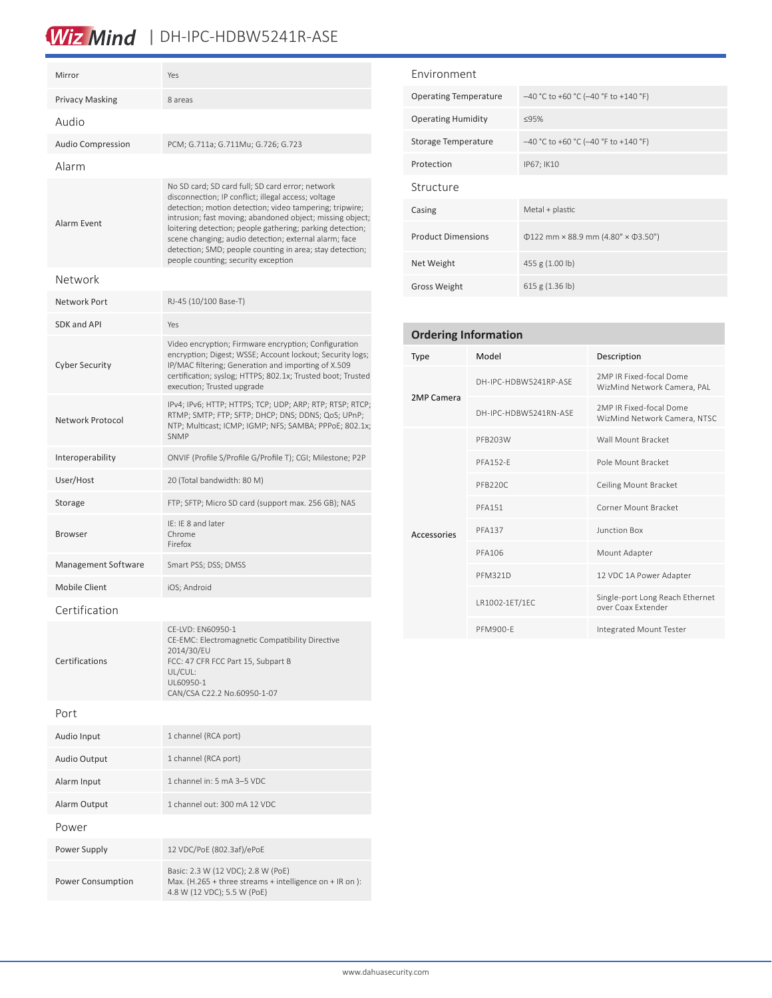## Wiz Mind | DH-IPC-HDBW5241R-ASE

| Mirror                   | Yes                                                                                                                                                                                                                                                                                                                                                                                                                                                      |  |
|--------------------------|----------------------------------------------------------------------------------------------------------------------------------------------------------------------------------------------------------------------------------------------------------------------------------------------------------------------------------------------------------------------------------------------------------------------------------------------------------|--|
| <b>Privacy Masking</b>   | 8 areas                                                                                                                                                                                                                                                                                                                                                                                                                                                  |  |
| Audio                    |                                                                                                                                                                                                                                                                                                                                                                                                                                                          |  |
| <b>Audio Compression</b> | PCM; G.711a; G.711Mu; G.726; G.723                                                                                                                                                                                                                                                                                                                                                                                                                       |  |
| Alarm                    |                                                                                                                                                                                                                                                                                                                                                                                                                                                          |  |
| Alarm Event              | No SD card; SD card full; SD card error; network<br>disconnection; IP conflict; illegal access; voltage<br>detection; motion detection; video tampering; tripwire;<br>intrusion; fast moving; abandoned object; missing object;<br>loitering detection; people gathering; parking detection;<br>scene changing; audio detection; external alarm; face<br>detection; SMD; people counting in area; stay detection;<br>people counting; security exception |  |
| Network                  |                                                                                                                                                                                                                                                                                                                                                                                                                                                          |  |
| Network Port             | RJ-45 (10/100 Base-T)                                                                                                                                                                                                                                                                                                                                                                                                                                    |  |
| SDK and API              | Yes                                                                                                                                                                                                                                                                                                                                                                                                                                                      |  |
| <b>Cyber Security</b>    | Video encryption; Firmware encryption; Configuration<br>encryption; Digest; WSSE; Account lockout; Security logs;<br>IP/MAC filtering; Generation and importing of X.509<br>certification; syslog; HTTPS; 802.1x; Trusted boot; Trusted<br>execution; Trusted upgrade                                                                                                                                                                                    |  |
| Network Protocol         | IPv4; IPv6; HTTP; HTTPS; TCP; UDP; ARP; RTP; RTSP; RTCP;<br>RTMP; SMTP; FTP; SFTP; DHCP; DNS; DDNS; QoS; UPnP;<br>NTP; Multicast; ICMP; IGMP; NFS; SAMBA; PPPoE; 802.1x;<br><b>SNMP</b>                                                                                                                                                                                                                                                                  |  |
| Interoperability         | ONVIF (Profile S/Profile G/Profile T); CGI; Milestone; P2P                                                                                                                                                                                                                                                                                                                                                                                               |  |
| User/Host                | 20 (Total bandwidth: 80 M)                                                                                                                                                                                                                                                                                                                                                                                                                               |  |
| Storage                  | FTP; SFTP; Micro SD card (support max. 256 GB); NAS                                                                                                                                                                                                                                                                                                                                                                                                      |  |
| <b>Browser</b>           | IE: IE 8 and later<br>Chrome<br>Firefox                                                                                                                                                                                                                                                                                                                                                                                                                  |  |
| Management Software      | Smart PSS; DSS; DMSS                                                                                                                                                                                                                                                                                                                                                                                                                                     |  |
| <b>Mobile Client</b>     | iOS; Android                                                                                                                                                                                                                                                                                                                                                                                                                                             |  |
| Certification            |                                                                                                                                                                                                                                                                                                                                                                                                                                                          |  |
| Certifications           | CE-LVD: EN60950-1<br>CE-EMC: Electromagnetic Compatibility Directive<br>2014/30/EU<br>FCC: 47 CFR FCC Part 15, Subpart B<br>UL/CUL:<br>UL60950-1<br>CAN/CSA C22.2 No.60950-1-07                                                                                                                                                                                                                                                                          |  |
| Port                     |                                                                                                                                                                                                                                                                                                                                                                                                                                                          |  |
| Audio Input              | 1 channel (RCA port)                                                                                                                                                                                                                                                                                                                                                                                                                                     |  |
| Audio Output             | 1 channel (RCA port)                                                                                                                                                                                                                                                                                                                                                                                                                                     |  |
| Alarm Input              | 1 channel in: 5 mA 3-5 VDC                                                                                                                                                                                                                                                                                                                                                                                                                               |  |
| Alarm Output             | 1 channel out: 300 mA 12 VDC                                                                                                                                                                                                                                                                                                                                                                                                                             |  |
| Power                    |                                                                                                                                                                                                                                                                                                                                                                                                                                                          |  |
| Power Supply             | 12 VDC/PoE (802.3af)/ePoE                                                                                                                                                                                                                                                                                                                                                                                                                                |  |
| Power Consumption        | Basic: 2.3 W (12 VDC); 2.8 W (PoE)<br>Max. (H.265 + three streams + intelligence on + IR on):                                                                                                                                                                                                                                                                                                                                                            |  |

4.8 W (12 VDC); 5.5 W (PoE)

| Environment                  |                                                |  |
|------------------------------|------------------------------------------------|--|
| <b>Operating Temperature</b> | $-40$ °C to +60 °C (-40 °F to +140 °F)         |  |
| <b>Operating Humidity</b>    | ≤95%                                           |  |
| Storage Temperature          | $-40$ °C to +60 °C (-40 °F to +140 °F)         |  |
| Protection                   | IP67; IK10                                     |  |
| Structure                    |                                                |  |
| Casing                       | $MetaI + plastic$                              |  |
| <b>Product Dimensions</b>    | $\Phi$ 122 mm × 88.9 mm (4.80" × $\Phi$ 3.50") |  |
| Net Weight                   | 455 g (1.00 lb)                                |  |
| <b>Gross Weight</b>          | 615 g $(1.36 \text{ lb})$                      |  |

| <b>Ordering Information</b> |                       |                                                         |  |  |  |
|-----------------------------|-----------------------|---------------------------------------------------------|--|--|--|
| <b>Type</b>                 | Model                 | Description                                             |  |  |  |
| 2MP Camera                  | DH-IPC-HDBW5241RP-ASF | 2MP IR Fixed-focal Dome<br>WizMind Network Camera, PAL  |  |  |  |
|                             | DH-IPC-HDBW5241RN-ASF | 2MP IR Fixed-focal Dome<br>WizMind Network Camera, NTSC |  |  |  |
|                             | PFB203W               | Wall Mount Bracket                                      |  |  |  |
|                             | <b>PFA152-F</b>       | Pole Mount Bracket                                      |  |  |  |
|                             | PFB220C               | Ceiling Mount Bracket                                   |  |  |  |
|                             | <b>PFA151</b>         | Corner Mount Bracket                                    |  |  |  |
| Accessories                 | <b>PFA137</b>         | Junction Box                                            |  |  |  |
|                             | PFA106                | Mount Adapter                                           |  |  |  |
|                             | <b>PFM321D</b>        | 12 VDC 1A Power Adapter                                 |  |  |  |
|                             | LR1002-1ET/1EC        | Single-port Long Reach Ethernet<br>over Coax Extender   |  |  |  |
|                             | PFM900-F              | Integrated Mount Tester                                 |  |  |  |